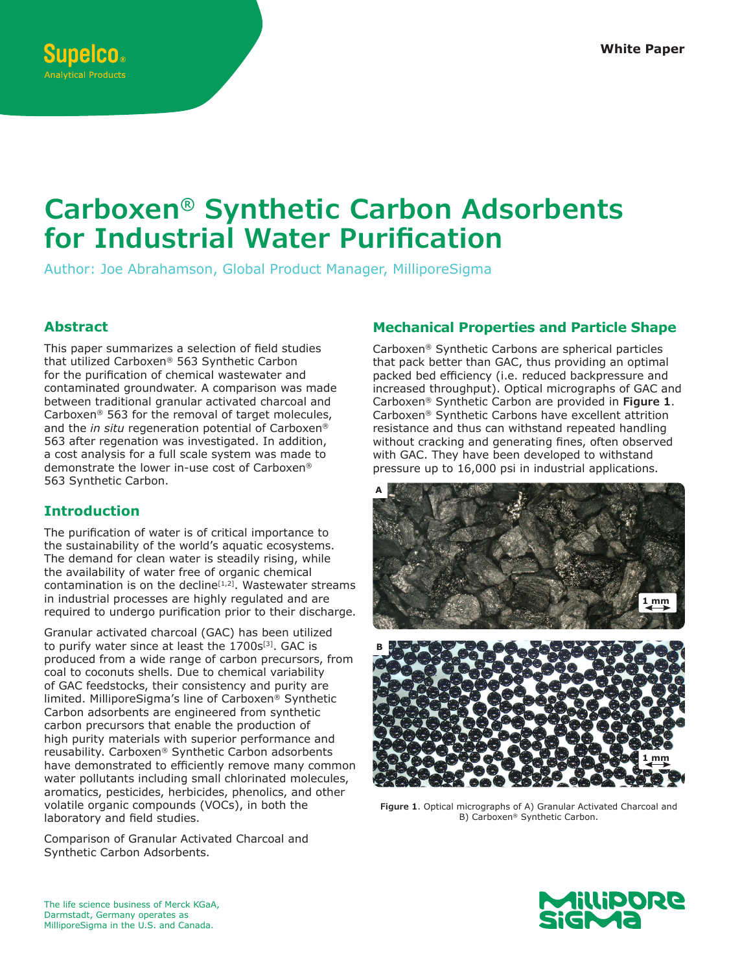# **Carboxen® Synthetic Carbon Adsorbents for Industrial Water Purification**

Author: Joe Abrahamson, Global Product Manager, MilliporeSigma

## **Abstract**

This paper summarizes a selection of field studies that utilized Carboxen® 563 Synthetic Carbon for the purification of chemical wastewater and contaminated groundwater. A comparison was made between traditional granular activated charcoal and Carboxen® 563 for the removal of target molecules, and the *in situ* regeneration potential of Carboxen® 563 after regenation was investigated. In addition, a cost analysis for a full scale system was made to demonstrate the lower in-use cost of Carboxen® 563 Synthetic Carbon.

# **Introduction**

The purification of water is of critical importance to the sustainability of the world's aquatic ecosystems. The demand for clean water is steadily rising, while the availability of water free of organic chemical contamination is on the decline $[1,2]$ . Wastewater streams in industrial processes are highly regulated and are required to undergo purification prior to their discharge.

Granular activated charcoal (GAC) has been utilized to purify water since at least the 1700s<sup>[3]</sup>. GAC is produced from a wide range of carbon precursors, from coal to coconuts shells. Due to chemical variability of GAC feedstocks, their consistency and purity are limited. MilliporeSigma's line of Carboxen® Synthetic Carbon adsorbents are engineered from synthetic carbon precursors that enable the production of high purity materials with superior performance and reusability. Carboxen® Synthetic Carbon adsorbents have demonstrated to efficiently remove many common water pollutants including small chlorinated molecules, aromatics, pesticides, herbicides, phenolics, and other volatile organic compounds (VOCs), in both the laboratory and field studies.

Comparison of Granular Activated Charcoal and Synthetic Carbon Adsorbents.

# **Mechanical Properties and Particle Shape**

Carboxen® Synthetic Carbons are spherical particles that pack better than GAC, thus providing an optimal packed bed efficiency (i.e. reduced backpressure and increased throughput). Optical micrographs of GAC and Carboxen® Synthetic Carbon are provided in **Figure 1**. Carboxen® Synthetic Carbons have excellent attrition resistance and thus can withstand repeated handling without cracking and generating fines, often observed with GAC. They have been developed to withstand pressure up to 16,000 psi in industrial applications.



**Figure 1**. Optical micrographs of A) Granular Activated Charcoal and B) Carboxen® Synthetic Carbon.



The life science business of Merck KGaA, Darmstadt, Germany operates as MilliporeSigma in the U.S. and Canada.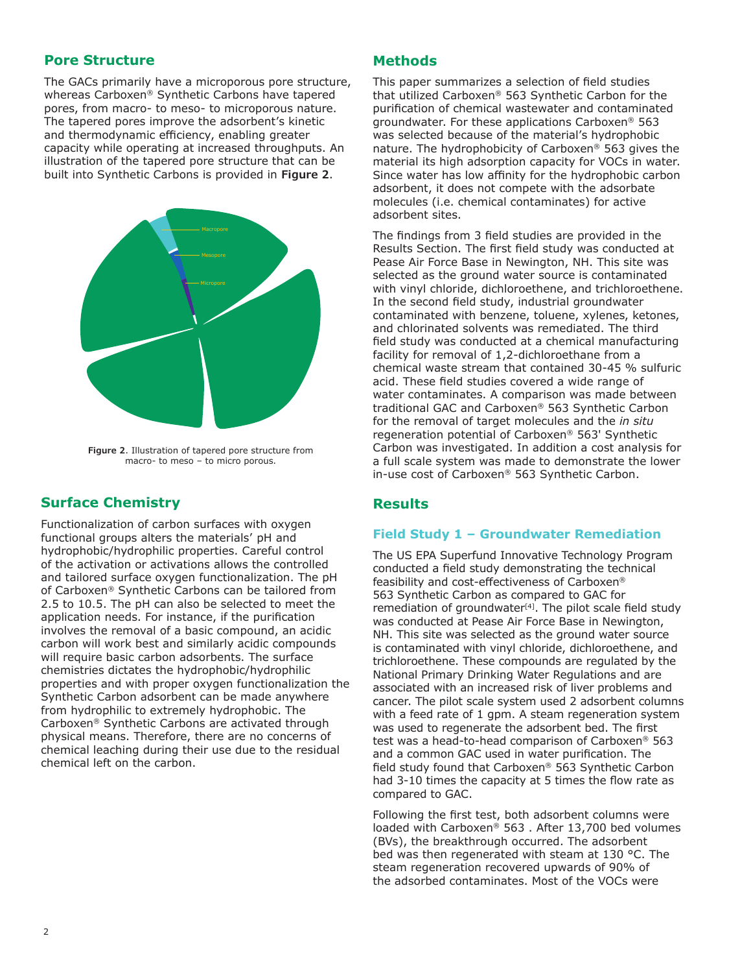#### **Pore Structure**

The GACs primarily have a microporous pore structure, whereas Carboxen® Synthetic Carbons have tapered pores, from macro- to meso- to microporous nature. The tapered pores improve the adsorbent's kinetic and thermodynamic efficiency, enabling greater capacity while operating at increased throughputs. An illustration of the tapered pore structure that can be built into Synthetic Carbons is provided in **Figure 2**.



**Figure 2**. Illustration of tapered pore structure from macro- to meso – to micro porous.

# **Surface Chemistry**

Functionalization of carbon surfaces with oxygen functional groups alters the materials' pH and hydrophobic/hydrophilic properties. Careful control of the activation or activations allows the controlled and tailored surface oxygen functionalization. The pH of Carboxen® Synthetic Carbons can be tailored from 2.5 to 10.5. The pH can also be selected to meet the application needs. For instance, if the purification involves the removal of a basic compound, an acidic carbon will work best and similarly acidic compounds will require basic carbon adsorbents. The surface chemistries dictates the hydrophobic/hydrophilic properties and with proper oxygen functionalization the Synthetic Carbon adsorbent can be made anywhere from hydrophilic to extremely hydrophobic. The Carboxen® Synthetic Carbons are activated through physical means. Therefore, there are no concerns of chemical leaching during their use due to the residual chemical left on the carbon.

### **Methods**

This paper summarizes a selection of field studies that utilized Carboxen® 563 Synthetic Carbon for the purification of chemical wastewater and contaminated groundwater. For these applications Carboxen® 563 was selected because of the material's hydrophobic nature. The hydrophobicity of Carboxen® 563 gives the material its high adsorption capacity for VOCs in water. Since water has low affinity for the hydrophobic carbon adsorbent, it does not compete with the adsorbate molecules (i.e. chemical contaminates) for active adsorbent sites.

The findings from 3 field studies are provided in the Results Section. The first field study was conducted at Pease Air Force Base in Newington, NH. This site was selected as the ground water source is contaminated with vinyl chloride, dichloroethene, and trichloroethene. In the second field study, industrial groundwater contaminated with benzene, toluene, xylenes, ketones, and chlorinated solvents was remediated. The third field study was conducted at a chemical manufacturing facility for removal of 1,2-dichloroethane from a chemical waste stream that contained 30-45 % sulfuric acid. These field studies covered a wide range of water contaminates. A comparison was made between traditional GAC and Carboxen® 563 Synthetic Carbon for the removal of target molecules and the *in situ* regeneration potential of Carboxen® 563' Synthetic Carbon was investigated. In addition a cost analysis for a full scale system was made to demonstrate the lower in-use cost of Carboxen® 563 Synthetic Carbon.

# **Results**

#### **Field Study 1 – Groundwater Remediation**

The US EPA Superfund Innovative Technology Program conducted a field study demonstrating the technical feasibility and cost-effectiveness of Carboxen® 563 Synthetic Carbon as compared to GAC for remediation of groundwater $[4]$ . The pilot scale field study was conducted at Pease Air Force Base in Newington, NH. This site was selected as the ground water source is contaminated with vinyl chloride, dichloroethene, and trichloroethene. These compounds are regulated by the National Primary Drinking Water Regulations and are associated with an increased risk of liver problems and cancer. The pilot scale system used 2 adsorbent columns with a feed rate of 1 gpm. A steam regeneration system was used to regenerate the adsorbent bed. The first test was a head-to-head comparison of Carboxen® 563 and a common GAC used in water purification. The field study found that Carboxen® 563 Synthetic Carbon had 3-10 times the capacity at 5 times the flow rate as compared to GAC.

Following the first test, both adsorbent columns were loaded with Carboxen® 563 . After 13,700 bed volumes (BVs), the breakthrough occurred. The adsorbent bed was then regenerated with steam at 130 °C. The steam regeneration recovered upwards of 90% of the adsorbed contaminates. Most of the VOCs were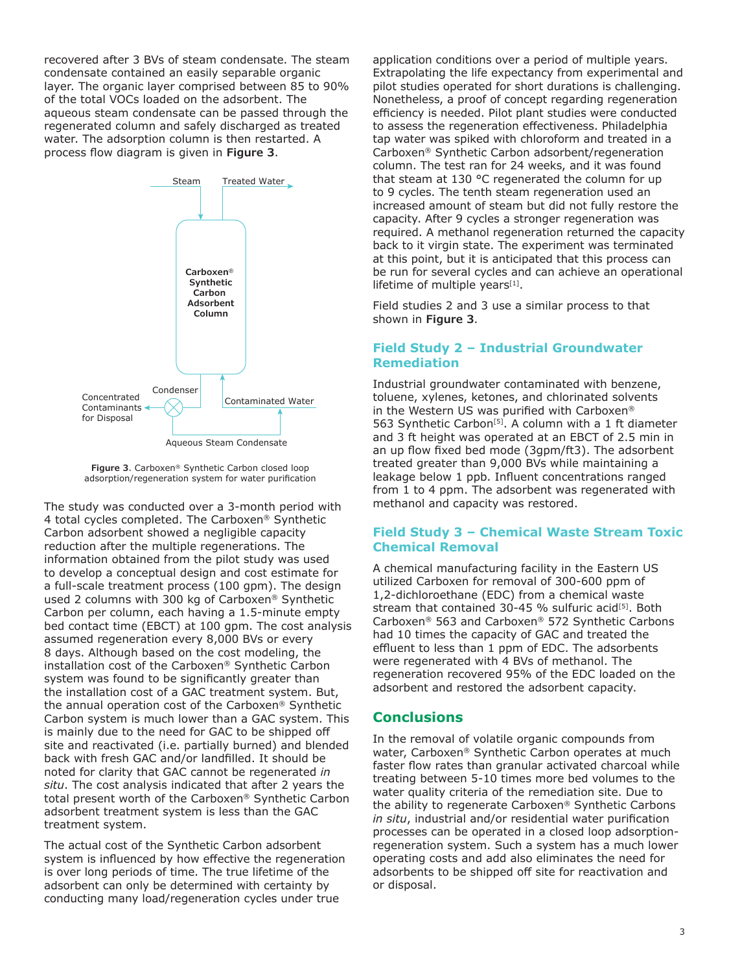recovered after 3 BVs of steam condensate. The steam condensate contained an easily separable organic layer. The organic layer comprised between 85 to 90% of the total VOCs loaded on the adsorbent. The aqueous steam condensate can be passed through the regenerated column and safely discharged as treated water. The adsorption column is then restarted. A process flow diagram is given in **Figure 3**.



Aqueous Steam Condensate

**Figure 3**. Carboxen® Synthetic Carbon closed loop adsorption/regeneration system for water purification

The study was conducted over a 3-month period with 4 total cycles completed. The Carboxen® Synthetic Carbon adsorbent showed a negligible capacity reduction after the multiple regenerations. The information obtained from the pilot study was used to develop a conceptual design and cost estimate for a full-scale treatment process (100 gpm). The design used 2 columns with 300 kg of Carboxen® Synthetic Carbon per column, each having a 1.5-minute empty bed contact time (EBCT) at 100 gpm. The cost analysis assumed regeneration every 8,000 BVs or every 8 days. Although based on the cost modeling, the installation cost of the Carboxen® Synthetic Carbon system was found to be significantly greater than the installation cost of a GAC treatment system. But, the annual operation cost of the Carboxen® Synthetic Carbon system is much lower than a GAC system. This is mainly due to the need for GAC to be shipped off site and reactivated (i.e. partially burned) and blended back with fresh GAC and/or landfilled. It should be noted for clarity that GAC cannot be regenerated *in situ*. The cost analysis indicated that after 2 years the total present worth of the Carboxen® Synthetic Carbon adsorbent treatment system is less than the GAC treatment system.

The actual cost of the Synthetic Carbon adsorbent system is influenced by how effective the regeneration is over long periods of time. The true lifetime of the adsorbent can only be determined with certainty by conducting many load/regeneration cycles under true

application conditions over a period of multiple years. Extrapolating the life expectancy from experimental and pilot studies operated for short durations is challenging. Nonetheless, a proof of concept regarding regeneration efficiency is needed. Pilot plant studies were conducted to assess the regeneration effectiveness. Philadelphia tap water was spiked with chloroform and treated in a Carboxen® Synthetic Carbon adsorbent/regeneration column. The test ran for 24 weeks, and it was found that steam at 130 °C regenerated the column for up to 9 cycles. The tenth steam regeneration used an increased amount of steam but did not fully restore the capacity. After 9 cycles a stronger regeneration was required. A methanol regeneration returned the capacity back to it virgin state. The experiment was terminated at this point, but it is anticipated that this process can be run for several cycles and can achieve an operational lifetime of multiple years $[1]$ .

Field studies 2 and 3 use a similar process to that shown in **Figure 3**.

#### **Field Study 2 – Industrial Groundwater Remediation**

Industrial groundwater contaminated with benzene, toluene, xylenes, ketones, and chlorinated solvents in the Western US was purified with Carboxen® 563 Synthetic Carbon<sup>[5]</sup>. A column with a 1 ft diameter and 3 ft height was operated at an EBCT of 2.5 min in an up flow fixed bed mode (3gpm/ft3). The adsorbent treated greater than 9,000 BVs while maintaining a leakage below 1 ppb. Influent concentrations ranged from 1 to 4 ppm. The adsorbent was regenerated with methanol and capacity was restored.

#### **Field Study 3 – Chemical Waste Stream Toxic Chemical Removal**

A chemical manufacturing facility in the Eastern US utilized Carboxen for removal of 300-600 ppm of 1,2-dichloroethane (EDC) from a chemical waste stream that contained 30-45 % sulfuric acid<sup>[5]</sup>. Both Carboxen® 563 and Carboxen® 572 Synthetic Carbons had 10 times the capacity of GAC and treated the effluent to less than 1 ppm of EDC. The adsorbents were regenerated with 4 BVs of methanol. The regeneration recovered 95% of the EDC loaded on the adsorbent and restored the adsorbent capacity.

#### **Conclusions**

In the removal of volatile organic compounds from water, Carboxen® Synthetic Carbon operates at much faster flow rates than granular activated charcoal while treating between 5-10 times more bed volumes to the water quality criteria of the remediation site. Due to the ability to regenerate Carboxen® Synthetic Carbons *in situ*, industrial and/or residential water purification processes can be operated in a closed loop adsorptionregeneration system. Such a system has a much lower operating costs and add also eliminates the need for adsorbents to be shipped off site for reactivation and or disposal.